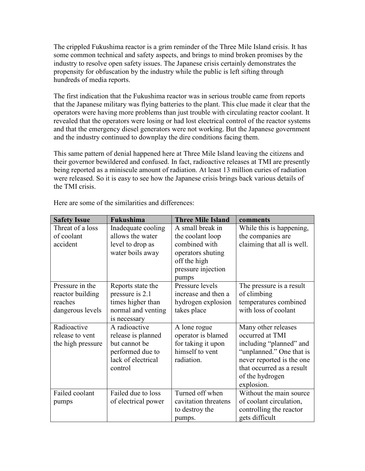The crippled Fukushima reactor is a grim reminder of the Three Mile Island crisis. It has some common technical and safety aspects, and brings to mind broken promises by the industry to resolve open safety issues. The Japanese crisis certainly demonstrates the propensity for obfuscation by the industry while the public is left sifting through hundreds of media reports.

The first indication that the Fukushima reactor was in serious trouble came from reports that the Japanese military was flying batteries to the plant. This clue made it clear that the operators were having more problems than just trouble with circulating reactor coolant. It revealed that the operators were losing or had lost electrical control of the reactor systems and that the emergency diesel generators were not working. But the Japanese government and the industry continued to downplay the dire conditions facing them.

This same pattern of denial happened here at Three Mile Island leaving the citizens and their governor bewildered and confused. In fact, radioactive releases at TMI are presently being reported as a miniscule amount of radiation. At least 13 million curies of radiation were released. So it is easy to see how the Japanese crisis brings back various details of the TMI crisis.

| <b>Safety Issue</b> | Fukushima           | <b>Three Mile Island</b> | comments                   |
|---------------------|---------------------|--------------------------|----------------------------|
| Threat of a loss    | Inadequate cooling  | A small break in         | While this is happening,   |
| of coolant          | allows the water    | the coolant loop         | the companies are          |
| accident            | level to drop as    | combined with            | claiming that all is well. |
|                     | water boils away    | operators shuting        |                            |
|                     |                     | off the high             |                            |
|                     |                     | pressure injection       |                            |
|                     |                     | pumps                    |                            |
| Pressure in the     | Reports state the   | Pressure levels          | The pressure is a result   |
| reactor building    | pressure is 2.1     | increase and then a      | of climbing                |
| reaches             | times higher than   | hydrogen explosion       | temperatures combined      |
| dangerous levels    | normal and venting  | takes place              | with loss of coolant       |
|                     | is necessary        |                          |                            |
| Radioactive         | A radioactive       | A lone rogue             | Many other releases        |
| release to vent     | release is planned  | operator is blamed       | occurred at TMI            |
| the high pressure   | but cannot be       | for taking it upon       | including "planned" and    |
|                     | performed due to    | himself to vent          | "unplanned." One that is   |
|                     | lack of electrical  | radiation.               | never reported is the one  |
|                     | control             |                          | that occurred as a result  |
|                     |                     |                          | of the hydrogen            |
|                     |                     |                          | explosion.                 |
| Failed coolant      | Failed due to loss  | Turned off when          | Without the main source    |
| pumps               | of electrical power | cavitation threatens     | of coolant circulation,    |
|                     |                     | to destroy the           | controlling the reactor    |
|                     |                     | pumps.                   | gets difficult             |

Here are some of the similarities and differences.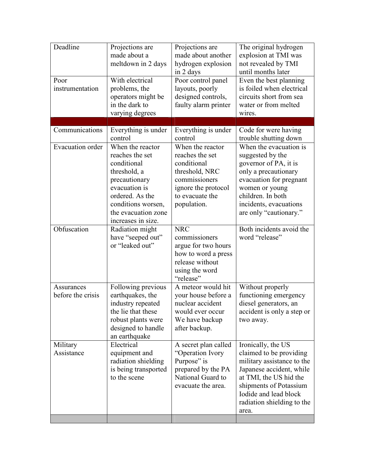| Deadline<br>Poor<br>instrumentation | Projections are<br>made about a<br>meltdown in 2 days<br>With electrical<br>problems, the<br>operators might be<br>in the dark to<br>varying degrees                                       | Projections are<br>made about another<br>hydrogen explosion<br>in 2 days<br>Poor control panel<br>layouts, poorly<br>designed controls,<br>faulty alarm printer | The original hydrogen<br>explosion at TMI was<br>not revealed by TMI<br>until months later<br>Even the best planning<br>is foiled when electrical<br>circuits short from sea<br>water or from melted<br>wires.              |
|-------------------------------------|--------------------------------------------------------------------------------------------------------------------------------------------------------------------------------------------|-----------------------------------------------------------------------------------------------------------------------------------------------------------------|-----------------------------------------------------------------------------------------------------------------------------------------------------------------------------------------------------------------------------|
|                                     |                                                                                                                                                                                            |                                                                                                                                                                 |                                                                                                                                                                                                                             |
| Communications                      | Everything is under<br>control                                                                                                                                                             | Everything is under<br>control                                                                                                                                  | Code for were having<br>trouble shutting down                                                                                                                                                                               |
| Evacuation order                    | When the reactor<br>reaches the set<br>conditional<br>threshold, a<br>precautionary<br>evacuation is<br>ordered. As the<br>conditions worsen,<br>the evacuation zone<br>increases in size. | When the reactor<br>reaches the set<br>conditional<br>threshold, NRC<br>commissioners<br>ignore the protocol<br>to evacuate the<br>population.                  | When the evacuation is<br>suggested by the<br>governor of PA, it is<br>only a precautionary<br>evacuation for pregnant<br>women or young<br>children. In both<br>incidents, evacuations<br>are only "cautionary."           |
| Obfuscation                         | Radiation might<br>have "seeped out"<br>or "leaked out"                                                                                                                                    | <b>NRC</b><br>commissioners<br>argue for two hours<br>how to word a press<br>release without<br>using the word<br>"release"                                     | Both incidents avoid the<br>word "release"                                                                                                                                                                                  |
| Assurances<br>before the crisis     | Following previous<br>earthquakes, the<br>industry repeated<br>the lie that these<br>robust plants were<br>designed to handle<br>an earthquake                                             | A meteor would hit<br>your house before a<br>nuclear accident<br>would ever occur<br>We have backup<br>after backup.                                            | Without properly<br>functioning emergency<br>diesel generators, an<br>accident is only a step or<br>two away.                                                                                                               |
| Military<br>Assistance              | Electrical<br>equipment and<br>radiation shielding<br>is being transported<br>to the scene                                                                                                 | A secret plan called<br>"Operation Ivory<br>Purpose" is<br>prepared by the PA<br>National Guard to<br>evacuate the area.                                        | Ironically, the US<br>claimed to be providing<br>military assistance to the<br>Japanese accident, while<br>at TMI, the US hid the<br>shipments of Potassium<br>Iodide and lead block<br>radiation shielding to the<br>area. |